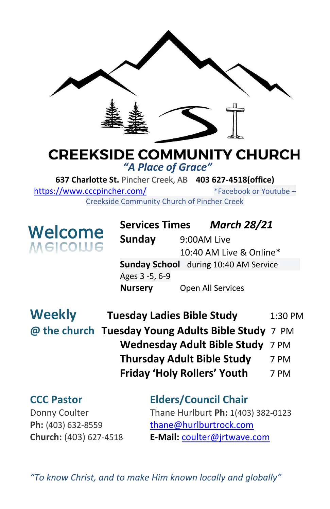

#### **CREEKSIDE COMMUNITY CHURCH** *"A Place of Grace"*

**637 Charlotte St.** Pincher Creek, AB **403 627-4518(office)**  <https://www.cccpincher.com/>\*Facebook or Youtube – Creekside Community Church of Pincher Creek

**Welcome**<br>Melcolue

**! Services Times** *March 28/21* **Sunday** 9:00AM Live 10:40 AM Live & Online\* **Sunday School** during 10:40 AM Service Ages 3 -5, 6-9 **Nursery** Open All Services

| <b>Weekly</b> | <b>Tuesday Ladies Bible Study</b>                  | 1:30 PM |
|---------------|----------------------------------------------------|---------|
|               | @ the church Tuesday Young Adults Bible Study 7 PM |         |
|               | Wednesday Adult Bible Study 7 PM                   |         |
|               | <b>Thursday Adult Bible Study</b>                  | 7 PM    |
|               | <b>Friday 'Holy Rollers' Youth</b>                 | 7 PM    |

### **CCC Pastor Elders/Council Chair** Donny Coulter Thane Hurlburt **Ph:** 1(403) 382-0123 Ph: (403) 632-8559 [thane@hurlburtrock.com](mailto:thane@hurlburtrock.com)

**Church:** (403) 627-4518 **E-Mail:** [coulter@jrtwave.com](mailto:coulter@jrtwave.com)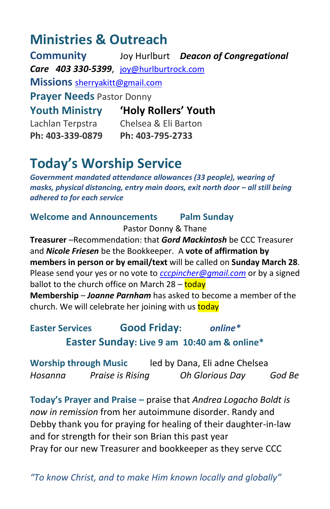## **Ministries & Outreach**

**Community** Joy Hurlburt *Deacon of Congregational Care 403 330-5399*, [joy@hurlburtrock.com](mailto:joy@hurlburtrock.com) **Missions** [sherryakitt@gmail.com](mailto:sherryakitt@gmail.com) **Prayer Needs** Pastor Donny **Youth Ministry 'Holy Rollers' Youth** Lachlan Terpstra Chelsea & Eli Barton **Ph: 403-339-0879 Ph: 403-795-2733**

# **Today's Worship Service**

*Government mandated attendance allowances (33 people), wearing of masks, physical distancing, entry main doors, exit north door – all still being adhered to for each service*

#### **Welcome and Announcements Palm Sunday**

Pastor Donny & Thane

**Treasurer** –Recommendation: that *Gord Mackintosh* be CCC Treasurer and *Nicole Friesen* be the Bookkeeper. A **vote of affirmation by members in person or by email/text** will be called on **Sunday March 28**. Please send your yes or no vote to *[cccpincher@gmail.com](mailto:cccpincher@gmail.com)* or by a signed ballot to the church office on March  $28 -$ today **Membership** – *Joanne Parnham* has asked to become a member of the church. We will celebrate her joining with us today

**Easter Services Good Friday:** *online\** **Easter Sunday: Live 9 am 10:40 am & online\***

**Worship through Music** led by Dana, Eli adne Chelsea *Hosanna Praise is Rising Oh Glorious Day God Be*

**Today's Prayer and Praise –** praise that *Andrea Logacho Boldt is now in remission* from her autoimmune disorder. Randy and Debby thank you for praying for healing of their daughter-in-law and for strength for their son Brian this past year Pray for our new Treasurer and bookkeeper as they serve CCC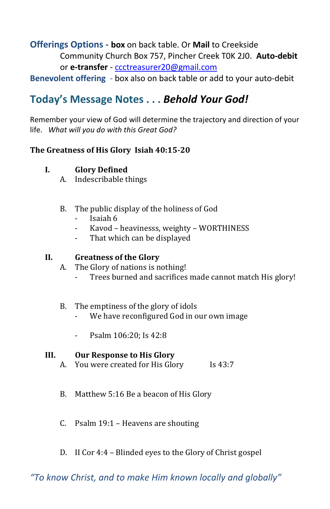#### **Offerings Options - box** on back table. Or **Mail** to Creekside Community Church Box 757, Pincher Creek T0K 2J0. **Auto-debit** or **e-transfer** - [ccctreasurer20@gmail.com](mailto:ccctreasurer20@gmail.com)

**Benevolent offering** - box also on back table or add to your auto-debit

### **Today's Message Notes . . .** *Behold Your God!*

Remember your view of God will determine the trajectory and direction of your life. *What will you do with this Great God?*

#### **The Greatness of His Glory Isiah 40:15-20**

#### **I. Glory Defined**

- A. Indescribable things
- B. The public display of the holiness of God
	- Isaiah 6
	- Kavod heavinesss, weighty WORTHINESS
	- That which can be displayed

#### **II. Greatness of the Glory**

- A. The Glory of nations is nothing!
	- Trees burned and sacrifices made cannot match His glory!

#### B. The emptiness of the glory of idols

- We have reconfigured God in our own image
- Psalm 106:20; Is 42:8

#### **III. Our Response to His Glory**

- A. You were created for His Glory Is 43:7
- B. Matthew 5:16 Be a beacon of His Glory
- C. Psalm 19:1 Heavens are shouting
- D. II Cor 4:4 Blinded eyes to the Glory of Christ gospel